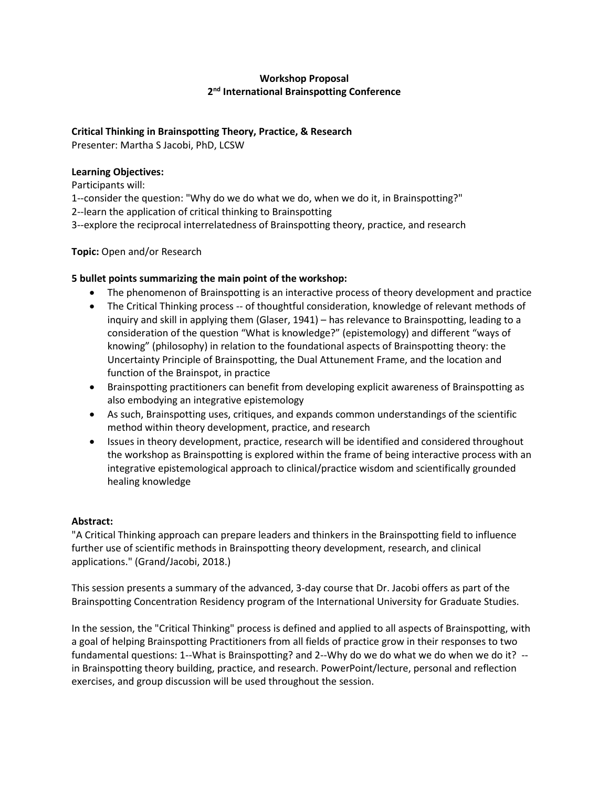# **Workshop Proposal 2nd International Brainspotting Conference**

## **Critical Thinking in Brainspotting Theory, Practice, & Research**

Presenter: Martha S Jacobi, PhD, LCSW

### **Learning Objectives:**

Participants will:

1--consider the question: "Why do we do what we do, when we do it, in Brainspotting?"

2--learn the application of critical thinking to Brainspotting

3--explore the reciprocal interrelatedness of Brainspotting theory, practice, and research

**Topic:** Open and/or Research

## **5 bullet points summarizing the main point of the workshop:**

- The phenomenon of Brainspotting is an interactive process of theory development and practice
- The Critical Thinking process -- of thoughtful consideration, knowledge of relevant methods of inquiry and skill in applying them (Glaser, 1941) – has relevance to Brainspotting, leading to a consideration of the question "What is knowledge?" (epistemology) and different "ways of knowing" (philosophy) in relation to the foundational aspects of Brainspotting theory: the Uncertainty Principle of Brainspotting, the Dual Attunement Frame, and the location and function of the Brainspot, in practice
- Brainspotting practitioners can benefit from developing explicit awareness of Brainspotting as also embodying an integrative epistemology
- As such, Brainspotting uses, critiques, and expands common understandings of the scientific method within theory development, practice, and research
- Issues in theory development, practice, research will be identified and considered throughout the workshop as Brainspotting is explored within the frame of being interactive process with an integrative epistemological approach to clinical/practice wisdom and scientifically grounded healing knowledge

# **Abstract:**

"A Critical Thinking approach can prepare leaders and thinkers in the Brainspotting field to influence further use of scientific methods in Brainspotting theory development, research, and clinical applications." (Grand/Jacobi, 2018.)

This session presents a summary of the advanced, 3-day course that Dr. Jacobi offers as part of the Brainspotting Concentration Residency program of the International University for Graduate Studies.

In the session, the "Critical Thinking" process is defined and applied to all aspects of Brainspotting, with a goal of helping Brainspotting Practitioners from all fields of practice grow in their responses to two fundamental questions: 1--What is Brainspotting? and 2--Why do we do what we do when we do it? - in Brainspotting theory building, practice, and research. PowerPoint/lecture, personal and reflection exercises, and group discussion will be used throughout the session.